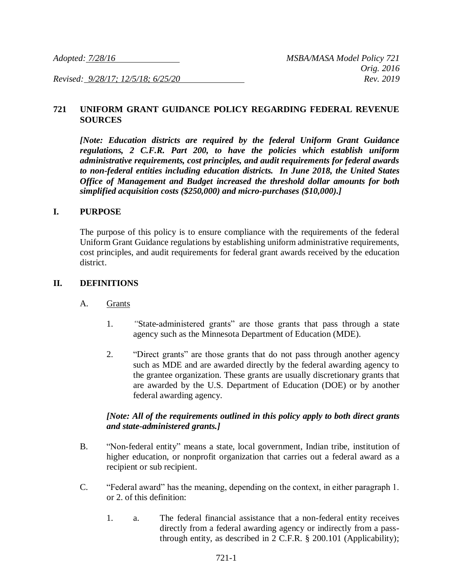*Revised: 9/28/17; 12/5/18; 6/25/20 Rev. 2019*

### **721 UNIFORM GRANT GUIDANCE POLICY REGARDING FEDERAL REVENUE SOURCES**

*[Note: Education districts are required by the federal Uniform Grant Guidance regulations, 2 C.F.R. Part 200, to have the policies which establish uniform administrative requirements, cost principles, and audit requirements for federal awards to non-federal entities including education districts. In June 2018, the United States Office of Management and Budget increased the threshold dollar amounts for both simplified acquisition costs (\$250,000) and micro-purchases (\$10,000).]*

#### **I. PURPOSE**

The purpose of this policy is to ensure compliance with the requirements of the federal Uniform Grant Guidance regulations by establishing uniform administrative requirements, cost principles, and audit requirements for federal grant awards received by the education district.

#### **II. DEFINITIONS**

- A. Grants
	- 1. *"*State-administered grants" are those grants that pass through a state agency such as the Minnesota Department of Education (MDE).
	- 2. "Direct grants" are those grants that do not pass through another agency such as MDE and are awarded directly by the federal awarding agency to the grantee organization. These grants are usually discretionary grants that are awarded by the U.S. Department of Education (DOE) or by another federal awarding agency.

#### *[Note: All of the requirements outlined in this policy apply to both direct grants and state-administered grants.]*

- B. "Non-federal entity" means a state, local government, Indian tribe, institution of higher education, or nonprofit organization that carries out a federal award as a recipient or sub recipient.
- C. "Federal award" has the meaning, depending on the context, in either paragraph 1. or 2. of this definition:
	- 1. a. The federal financial assistance that a non-federal entity receives directly from a federal awarding agency or indirectly from a passthrough entity, as described in 2 C.F.R. § 200.101 (Applicability);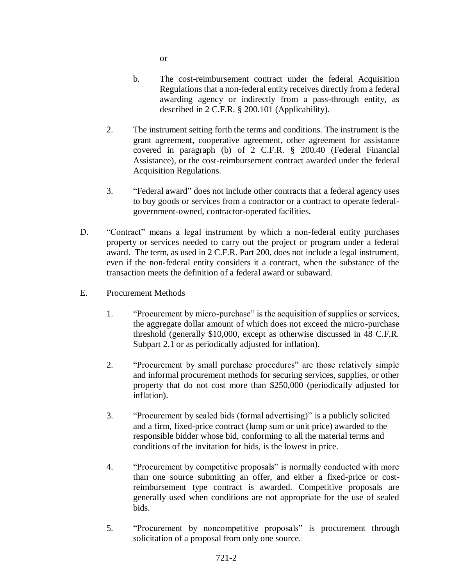or

- b. The cost-reimbursement contract under the federal Acquisition Regulations that a non-federal entity receives directly from a federal awarding agency or indirectly from a pass-through entity, as described in 2 C.F.R. § 200.101 (Applicability).
- 2. The instrument setting forth the terms and conditions. The instrument is the grant agreement, cooperative agreement, other agreement for assistance covered in paragraph (b) of 2 C.F.R. § 200.40 (Federal Financial Assistance), or the cost-reimbursement contract awarded under the federal Acquisition Regulations.
- 3. "Federal award" does not include other contracts that a federal agency uses to buy goods or services from a contractor or a contract to operate federalgovernment-owned, contractor-operated facilities.
- D. "Contract" means a legal instrument by which a non-federal entity purchases property or services needed to carry out the project or program under a federal award. The term, as used in 2 C.F.R. Part 200, does not include a legal instrument, even if the non-federal entity considers it a contract, when the substance of the transaction meets the definition of a federal award or subaward.
- E. Procurement Methods
	- 1. "Procurement by micro-purchase" is the acquisition of supplies or services, the aggregate dollar amount of which does not exceed the micro-purchase threshold (generally \$10,000, except as otherwise discussed in 48 C.F.R. Subpart 2.1 or as periodically adjusted for inflation).
	- 2. "Procurement by small purchase procedures" are those relatively simple and informal procurement methods for securing services, supplies, or other property that do not cost more than \$250,000 (periodically adjusted for inflation).
	- 3. "Procurement by sealed bids (formal advertising)" is a publicly solicited and a firm, fixed-price contract (lump sum or unit price) awarded to the responsible bidder whose bid, conforming to all the material terms and conditions of the invitation for bids, is the lowest in price.
	- 4. "Procurement by competitive proposals" is normally conducted with more than one source submitting an offer, and either a fixed-price or costreimbursement type contract is awarded. Competitive proposals are generally used when conditions are not appropriate for the use of sealed bids.
	- 5. "Procurement by noncompetitive proposals" is procurement through solicitation of a proposal from only one source.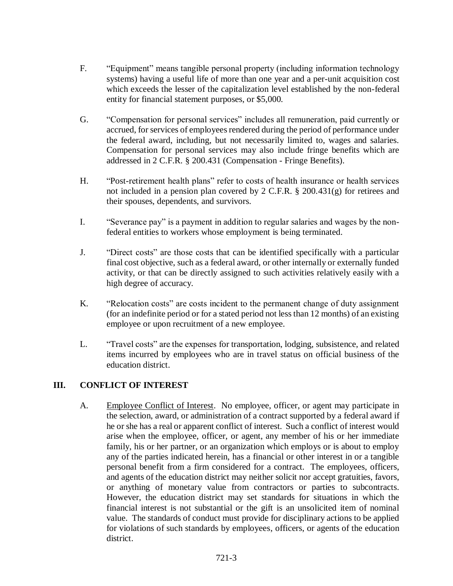- F. "Equipment" means tangible personal property (including information technology systems) having a useful life of more than one year and a per-unit acquisition cost which exceeds the lesser of the capitalization level established by the non-federal entity for financial statement purposes, or \$5,000.
- G. "Compensation for personal services" includes all remuneration, paid currently or accrued, for services of employees rendered during the period of performance under the federal award, including, but not necessarily limited to, wages and salaries. Compensation for personal services may also include fringe benefits which are addressed in 2 C.F.R. § 200.431 (Compensation - Fringe Benefits).
- H. "Post-retirement health plans" refer to costs of health insurance or health services not included in a pension plan covered by 2 C.F.R. § 200.431(g) for retirees and their spouses, dependents, and survivors.
- I. "Severance pay" is a payment in addition to regular salaries and wages by the nonfederal entities to workers whose employment is being terminated.
- J. "Direct costs" are those costs that can be identified specifically with a particular final cost objective, such as a federal award, or other internally or externally funded activity, or that can be directly assigned to such activities relatively easily with a high degree of accuracy.
- K. "Relocation costs" are costs incident to the permanent change of duty assignment (for an indefinite period or for a stated period not less than 12 months) of an existing employee or upon recruitment of a new employee.
- L. "Travel costs" are the expenses for transportation, lodging, subsistence, and related items incurred by employees who are in travel status on official business of the education district.

## **III. CONFLICT OF INTEREST**

A. Employee Conflict of Interest. No employee, officer, or agent may participate in the selection, award, or administration of a contract supported by a federal award if he or she has a real or apparent conflict of interest. Such a conflict of interest would arise when the employee, officer, or agent, any member of his or her immediate family, his or her partner, or an organization which employs or is about to employ any of the parties indicated herein, has a financial or other interest in or a tangible personal benefit from a firm considered for a contract. The employees, officers, and agents of the education district may neither solicit nor accept gratuities, favors, or anything of monetary value from contractors or parties to subcontracts. However, the education district may set standards for situations in which the financial interest is not substantial or the gift is an unsolicited item of nominal value. The standards of conduct must provide for disciplinary actions to be applied for violations of such standards by employees, officers, or agents of the education district.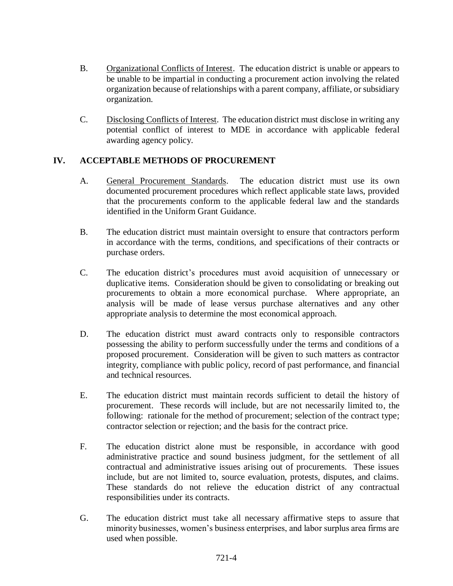- B. Organizational Conflicts of Interest. The education district is unable or appears to be unable to be impartial in conducting a procurement action involving the related organization because of relationships with a parent company, affiliate, or subsidiary organization.
- C. Disclosing Conflicts of Interest. The education district must disclose in writing any potential conflict of interest to MDE in accordance with applicable federal awarding agency policy.

# **IV. ACCEPTABLE METHODS OF PROCUREMENT**

- A. General Procurement Standards. The education district must use its own documented procurement procedures which reflect applicable state laws, provided that the procurements conform to the applicable federal law and the standards identified in the Uniform Grant Guidance.
- B. The education district must maintain oversight to ensure that contractors perform in accordance with the terms, conditions, and specifications of their contracts or purchase orders.
- C. The education district's procedures must avoid acquisition of unnecessary or duplicative items. Consideration should be given to consolidating or breaking out procurements to obtain a more economical purchase. Where appropriate, an analysis will be made of lease versus purchase alternatives and any other appropriate analysis to determine the most economical approach.
- D. The education district must award contracts only to responsible contractors possessing the ability to perform successfully under the terms and conditions of a proposed procurement. Consideration will be given to such matters as contractor integrity, compliance with public policy, record of past performance, and financial and technical resources.
- E. The education district must maintain records sufficient to detail the history of procurement. These records will include, but are not necessarily limited to, the following: rationale for the method of procurement; selection of the contract type; contractor selection or rejection; and the basis for the contract price.
- F. The education district alone must be responsible, in accordance with good administrative practice and sound business judgment, for the settlement of all contractual and administrative issues arising out of procurements. These issues include, but are not limited to, source evaluation, protests, disputes, and claims. These standards do not relieve the education district of any contractual responsibilities under its contracts.
- G. The education district must take all necessary affirmative steps to assure that minority businesses, women's business enterprises, and labor surplus area firms are used when possible.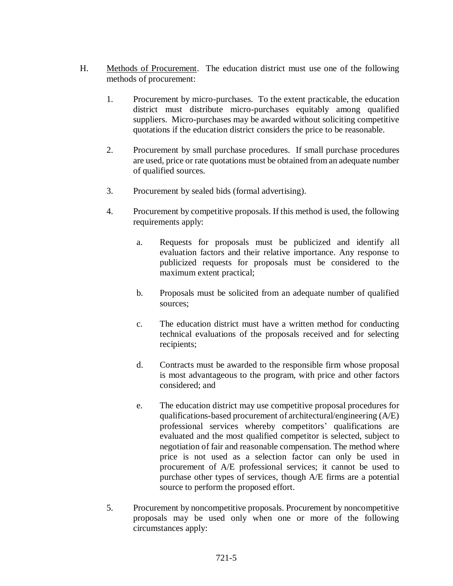- H. Methods of Procurement. The education district must use one of the following methods of procurement:
	- 1. Procurement by micro-purchases. To the extent practicable, the education district must distribute micro-purchases equitably among qualified suppliers. Micro-purchases may be awarded without soliciting competitive quotations if the education district considers the price to be reasonable.
	- 2. Procurement by small purchase procedures. If small purchase procedures are used, price or rate quotations must be obtained from an adequate number of qualified sources.
	- 3. Procurement by sealed bids (formal advertising).
	- 4. Procurement by competitive proposals. If this method is used, the following requirements apply:
		- a. Requests for proposals must be publicized and identify all evaluation factors and their relative importance. Any response to publicized requests for proposals must be considered to the maximum extent practical;
		- b. Proposals must be solicited from an adequate number of qualified sources;
		- c. The education district must have a written method for conducting technical evaluations of the proposals received and for selecting recipients;
		- d. Contracts must be awarded to the responsible firm whose proposal is most advantageous to the program, with price and other factors considered; and
		- e. The education district may use competitive proposal procedures for qualifications-based procurement of architectural/engineering (A/E) professional services whereby competitors' qualifications are evaluated and the most qualified competitor is selected, subject to negotiation of fair and reasonable compensation. The method where price is not used as a selection factor can only be used in procurement of A/E professional services; it cannot be used to purchase other types of services, though A/E firms are a potential source to perform the proposed effort.
	- 5. Procurement by noncompetitive proposals. Procurement by noncompetitive proposals may be used only when one or more of the following circumstances apply: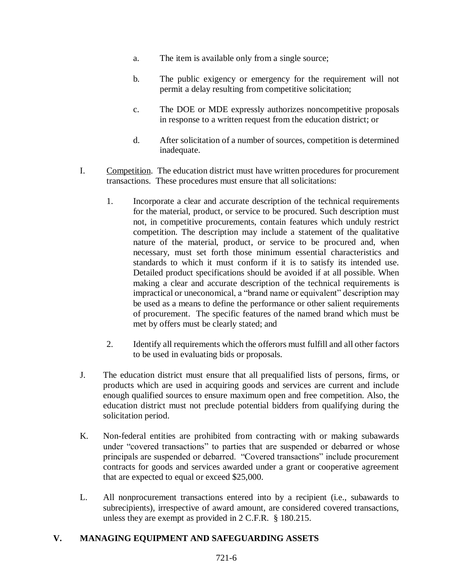- a. The item is available only from a single source;
- b. The public exigency or emergency for the requirement will not permit a delay resulting from competitive solicitation;
- c. The DOE or MDE expressly authorizes noncompetitive proposals in response to a written request from the education district; or
- d. After solicitation of a number of sources, competition is determined inadequate.
- I. Competition. The education district must have written procedures for procurement transactions. These procedures must ensure that all solicitations:
	- 1. Incorporate a clear and accurate description of the technical requirements for the material, product, or service to be procured. Such description must not, in competitive procurements, contain features which unduly restrict competition. The description may include a statement of the qualitative nature of the material, product, or service to be procured and, when necessary, must set forth those minimum essential characteristics and standards to which it must conform if it is to satisfy its intended use. Detailed product specifications should be avoided if at all possible. When making a clear and accurate description of the technical requirements is impractical or uneconomical, a "brand name or equivalent" description may be used as a means to define the performance or other salient requirements of procurement. The specific features of the named brand which must be met by offers must be clearly stated; and
	- 2. Identify all requirements which the offerors must fulfill and all other factors to be used in evaluating bids or proposals.
- J. The education district must ensure that all prequalified lists of persons, firms, or products which are used in acquiring goods and services are current and include enough qualified sources to ensure maximum open and free competition. Also, the education district must not preclude potential bidders from qualifying during the solicitation period.
- K. Non-federal entities are prohibited from contracting with or making subawards under "covered transactions" to parties that are suspended or debarred or whose principals are suspended or debarred. "Covered transactions" include procurement contracts for goods and services awarded under a grant or cooperative agreement that are expected to equal or exceed \$25,000.
- L. All nonprocurement transactions entered into by a recipient (i.e., subawards to subrecipients), irrespective of award amount, are considered covered transactions, unless they are exempt as provided in 2 C.F.R. § 180.215.

## **V. MANAGING EQUIPMENT AND SAFEGUARDING ASSETS**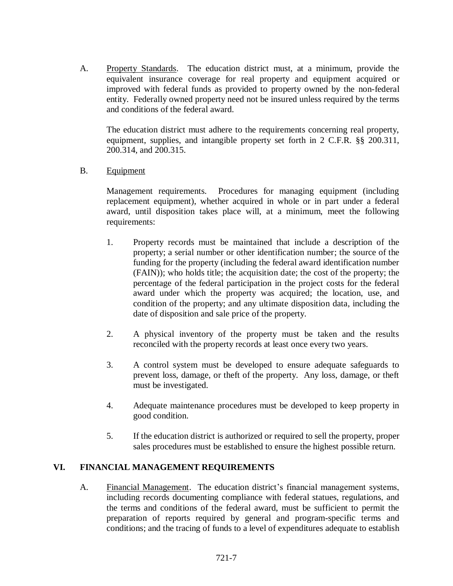A. Property Standards. The education district must, at a minimum, provide the equivalent insurance coverage for real property and equipment acquired or improved with federal funds as provided to property owned by the non-federal entity. Federally owned property need not be insured unless required by the terms and conditions of the federal award.

The education district must adhere to the requirements concerning real property, equipment, supplies, and intangible property set forth in 2 C.F.R. §§ 200.311, 200.314, and 200.315.

B. Equipment

Management requirements. Procedures for managing equipment (including replacement equipment), whether acquired in whole or in part under a federal award, until disposition takes place will, at a minimum, meet the following requirements:

- 1. Property records must be maintained that include a description of the property; a serial number or other identification number; the source of the funding for the property (including the federal award identification number (FAIN)); who holds title; the acquisition date; the cost of the property; the percentage of the federal participation in the project costs for the federal award under which the property was acquired; the location, use, and condition of the property; and any ultimate disposition data, including the date of disposition and sale price of the property.
- 2. A physical inventory of the property must be taken and the results reconciled with the property records at least once every two years.
- 3. A control system must be developed to ensure adequate safeguards to prevent loss, damage, or theft of the property. Any loss, damage, or theft must be investigated.
- 4. Adequate maintenance procedures must be developed to keep property in good condition.
- 5. If the education district is authorized or required to sell the property, proper sales procedures must be established to ensure the highest possible return.

#### **VI. FINANCIAL MANAGEMENT REQUIREMENTS**

A. Financial Management. The education district's financial management systems, including records documenting compliance with federal statues, regulations, and the terms and conditions of the federal award, must be sufficient to permit the preparation of reports required by general and program-specific terms and conditions; and the tracing of funds to a level of expenditures adequate to establish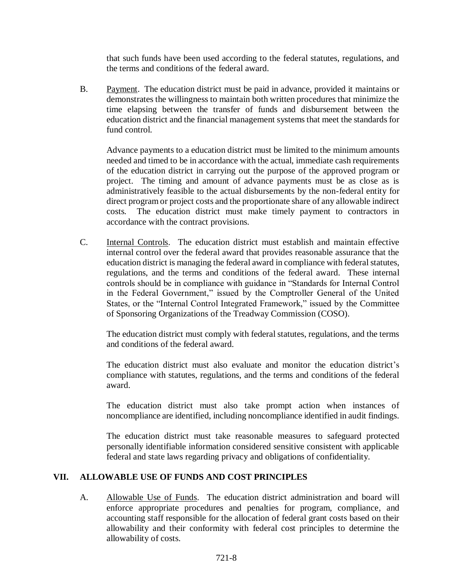that such funds have been used according to the federal statutes, regulations, and the terms and conditions of the federal award.

B. Payment. The education district must be paid in advance, provided it maintains or demonstrates the willingness to maintain both written procedures that minimize the time elapsing between the transfer of funds and disbursement between the education district and the financial management systems that meet the standards for fund control.

Advance payments to a education district must be limited to the minimum amounts needed and timed to be in accordance with the actual, immediate cash requirements of the education district in carrying out the purpose of the approved program or project. The timing and amount of advance payments must be as close as is administratively feasible to the actual disbursements by the non-federal entity for direct program or project costs and the proportionate share of any allowable indirect costs. The education district must make timely payment to contractors in accordance with the contract provisions.

C. Internal Controls. The education district must establish and maintain effective internal control over the federal award that provides reasonable assurance that the education district is managing the federal award in compliance with federal statutes, regulations, and the terms and conditions of the federal award. These internal controls should be in compliance with guidance in "Standards for Internal Control in the Federal Government," issued by the Comptroller General of the United States, or the "Internal Control Integrated Framework," issued by the Committee of Sponsoring Organizations of the Treadway Commission (COSO).

The education district must comply with federal statutes, regulations, and the terms and conditions of the federal award.

The education district must also evaluate and monitor the education district's compliance with statutes, regulations, and the terms and conditions of the federal award.

The education district must also take prompt action when instances of noncompliance are identified, including noncompliance identified in audit findings.

The education district must take reasonable measures to safeguard protected personally identifiable information considered sensitive consistent with applicable federal and state laws regarding privacy and obligations of confidentiality.

## **VII. ALLOWABLE USE OF FUNDS AND COST PRINCIPLES**

A. Allowable Use of Funds. The education district administration and board will enforce appropriate procedures and penalties for program, compliance, and accounting staff responsible for the allocation of federal grant costs based on their allowability and their conformity with federal cost principles to determine the allowability of costs.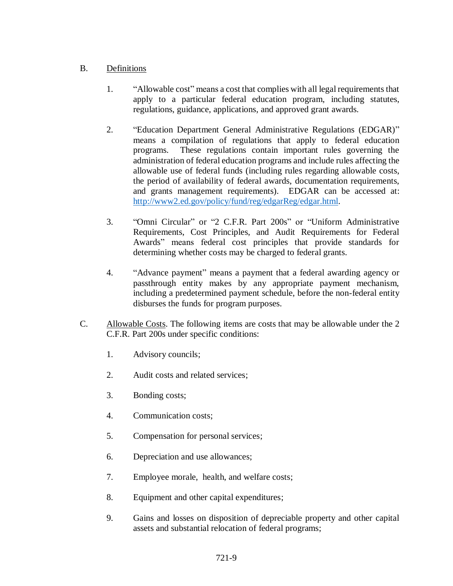## B. Definitions

- 1. "Allowable cost" means a cost that complies with all legal requirements that apply to a particular federal education program, including statutes, regulations, guidance, applications, and approved grant awards.
- 2. "Education Department General Administrative Regulations (EDGAR)" means a compilation of regulations that apply to federal education programs. These regulations contain important rules governing the administration of federal education programs and include rules affecting the allowable use of federal funds (including rules regarding allowable costs, the period of availability of federal awards, documentation requirements, and grants management requirements). EDGAR can be accessed at: [http://www2.ed.gov/policy/fund/reg/edgarReg/edgar.html.](http://www2.ed.gov/policy/fund/reg/edgarReg/edgar.html)
- 3. "Omni Circular" or "2 C.F.R. Part 200s" or "Uniform Administrative Requirements, Cost Principles, and Audit Requirements for Federal Awards" means federal cost principles that provide standards for determining whether costs may be charged to federal grants.
- 4. "Advance payment" means a payment that a federal awarding agency or passthrough entity makes by any appropriate payment mechanism, including a predetermined payment schedule, before the non-federal entity disburses the funds for program purposes.
- C. Allowable Costs. The following items are costs that may be allowable under the 2 C.F.R. Part 200s under specific conditions:
	- 1. Advisory councils;
	- 2. Audit costs and related services;
	- 3. Bonding costs;
	- 4. Communication costs;
	- 5. Compensation for personal services;
	- 6. Depreciation and use allowances;
	- 7. Employee morale, health, and welfare costs;
	- 8. Equipment and other capital expenditures;
	- 9. Gains and losses on disposition of depreciable property and other capital assets and substantial relocation of federal programs;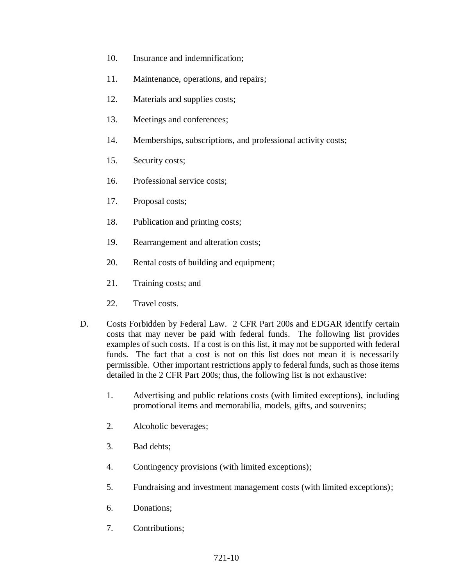- 10. Insurance and indemnification;
- 11. Maintenance, operations, and repairs;
- 12. Materials and supplies costs;
- 13. Meetings and conferences;
- 14. Memberships, subscriptions, and professional activity costs;
- 15. Security costs;
- 16. Professional service costs;
- 17. Proposal costs;
- 18. Publication and printing costs;
- 19. Rearrangement and alteration costs;
- 20. Rental costs of building and equipment;
- 21. Training costs; and
- 22. Travel costs.
- D. Costs Forbidden by Federal Law. 2 CFR Part 200s and EDGAR identify certain costs that may never be paid with federal funds. The following list provides examples of such costs. If a cost is on this list, it may not be supported with federal funds. The fact that a cost is not on this list does not mean it is necessarily permissible. Other important restrictions apply to federal funds, such as those items detailed in the 2 CFR Part 200s; thus, the following list is not exhaustive:
	- 1. Advertising and public relations costs (with limited exceptions), including promotional items and memorabilia, models, gifts, and souvenirs;
	- 2. Alcoholic beverages;
	- 3. Bad debts;
	- 4. Contingency provisions (with limited exceptions);
	- 5. Fundraising and investment management costs (with limited exceptions);
	- 6. Donations;
	- 7. Contributions;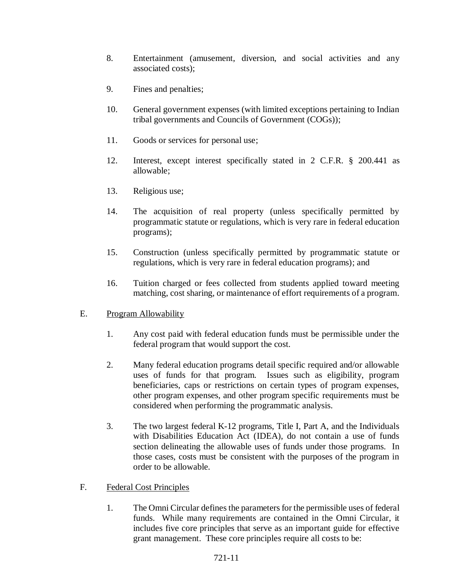- 8. Entertainment (amusement, diversion, and social activities and any associated costs);
- 9. Fines and penalties;
- 10. General government expenses (with limited exceptions pertaining to Indian tribal governments and Councils of Government (COGs));
- 11. Goods or services for personal use;
- 12. Interest, except interest specifically stated in 2 C.F.R. § 200.441 as allowable;
- 13. Religious use;
- 14. The acquisition of real property (unless specifically permitted by programmatic statute or regulations, which is very rare in federal education programs);
- 15. Construction (unless specifically permitted by programmatic statute or regulations, which is very rare in federal education programs); and
- 16. Tuition charged or fees collected from students applied toward meeting matching, cost sharing, or maintenance of effort requirements of a program.

# E. Program Allowability

- 1. Any cost paid with federal education funds must be permissible under the federal program that would support the cost.
- 2. Many federal education programs detail specific required and/or allowable uses of funds for that program. Issues such as eligibility, program beneficiaries, caps or restrictions on certain types of program expenses, other program expenses, and other program specific requirements must be considered when performing the programmatic analysis.
- 3. The two largest federal K-12 programs, Title I, Part A, and the Individuals with Disabilities Education Act (IDEA), do not contain a use of funds section delineating the allowable uses of funds under those programs. In those cases, costs must be consistent with the purposes of the program in order to be allowable.
- F. Federal Cost Principles
	- 1. The Omni Circular defines the parameters for the permissible uses of federal funds. While many requirements are contained in the Omni Circular, it includes five core principles that serve as an important guide for effective grant management. These core principles require all costs to be: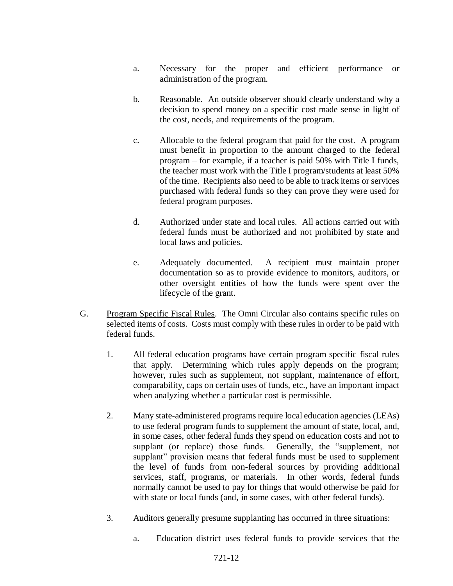- a. Necessary for the proper and efficient performance or administration of the program.
- b. Reasonable. An outside observer should clearly understand why a decision to spend money on a specific cost made sense in light of the cost, needs, and requirements of the program.
- c. Allocable to the federal program that paid for the cost. A program must benefit in proportion to the amount charged to the federal program – for example, if a teacher is paid 50% with Title I funds, the teacher must work with the Title I program/students at least 50% of the time. Recipients also need to be able to track items or services purchased with federal funds so they can prove they were used for federal program purposes.
- d. Authorized under state and local rules. All actions carried out with federal funds must be authorized and not prohibited by state and local laws and policies.
- e. Adequately documented. A recipient must maintain proper documentation so as to provide evidence to monitors, auditors, or other oversight entities of how the funds were spent over the lifecycle of the grant.
- G. Program Specific Fiscal Rules. The Omni Circular also contains specific rules on selected items of costs. Costs must comply with these rules in order to be paid with federal funds.
	- 1. All federal education programs have certain program specific fiscal rules that apply. Determining which rules apply depends on the program; however, rules such as supplement, not supplant, maintenance of effort, comparability, caps on certain uses of funds, etc., have an important impact when analyzing whether a particular cost is permissible.
	- 2. Many state-administered programs require local education agencies (LEAs) to use federal program funds to supplement the amount of state, local, and, in some cases, other federal funds they spend on education costs and not to supplant (or replace) those funds. Generally, the "supplement, not supplant" provision means that federal funds must be used to supplement the level of funds from non-federal sources by providing additional services, staff, programs, or materials. In other words, federal funds normally cannot be used to pay for things that would otherwise be paid for with state or local funds (and, in some cases, with other federal funds).
	- 3. Auditors generally presume supplanting has occurred in three situations:
		- a. Education district uses federal funds to provide services that the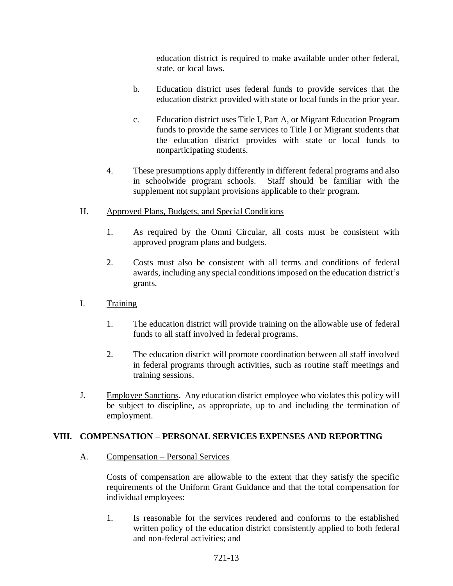education district is required to make available under other federal, state, or local laws.

- b. Education district uses federal funds to provide services that the education district provided with state or local funds in the prior year.
- c. Education district uses Title I, Part A, or Migrant Education Program funds to provide the same services to Title I or Migrant students that the education district provides with state or local funds to nonparticipating students.
- 4. These presumptions apply differently in different federal programs and also in schoolwide program schools. Staff should be familiar with the supplement not supplant provisions applicable to their program.
- H. Approved Plans, Budgets, and Special Conditions
	- 1. As required by the Omni Circular, all costs must be consistent with approved program plans and budgets.
	- 2. Costs must also be consistent with all terms and conditions of federal awards, including any special conditions imposed on the education district's grants.
- I. Training
	- 1. The education district will provide training on the allowable use of federal funds to all staff involved in federal programs.
	- 2. The education district will promote coordination between all staff involved in federal programs through activities, such as routine staff meetings and training sessions.
- J. Employee Sanctions. Any education district employee who violates this policy will be subject to discipline, as appropriate, up to and including the termination of employment.

## **VIII. COMPENSATION – PERSONAL SERVICES EXPENSES AND REPORTING**

A. Compensation – Personal Services

Costs of compensation are allowable to the extent that they satisfy the specific requirements of the Uniform Grant Guidance and that the total compensation for individual employees:

1. Is reasonable for the services rendered and conforms to the established written policy of the education district consistently applied to both federal and non-federal activities; and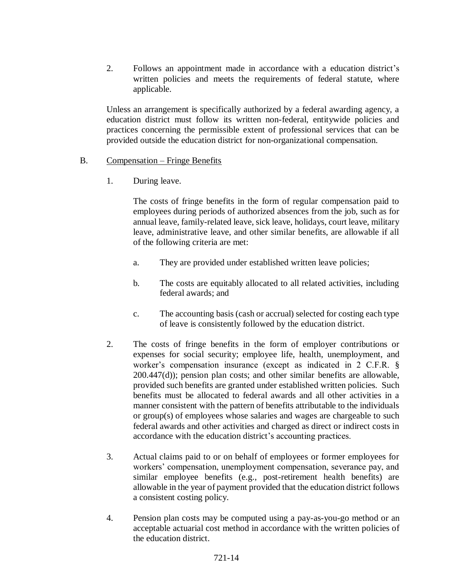2. Follows an appointment made in accordance with a education district's written policies and meets the requirements of federal statute, where applicable.

Unless an arrangement is specifically authorized by a federal awarding agency, a education district must follow its written non-federal, entitywide policies and practices concerning the permissible extent of professional services that can be provided outside the education district for non-organizational compensation.

### B. Compensation – Fringe Benefits

1. During leave.

The costs of fringe benefits in the form of regular compensation paid to employees during periods of authorized absences from the job, such as for annual leave, family-related leave, sick leave, holidays, court leave, military leave, administrative leave, and other similar benefits, are allowable if all of the following criteria are met:

- a. They are provided under established written leave policies;
- b. The costs are equitably allocated to all related activities, including federal awards; and
- c. The accounting basis (cash or accrual) selected for costing each type of leave is consistently followed by the education district.
- 2. The costs of fringe benefits in the form of employer contributions or expenses for social security; employee life, health, unemployment, and worker's compensation insurance (except as indicated in 2 C.F.R. § 200.447(d)); pension plan costs; and other similar benefits are allowable, provided such benefits are granted under established written policies. Such benefits must be allocated to federal awards and all other activities in a manner consistent with the pattern of benefits attributable to the individuals or group(s) of employees whose salaries and wages are chargeable to such federal awards and other activities and charged as direct or indirect costs in accordance with the education district's accounting practices.
- 3. Actual claims paid to or on behalf of employees or former employees for workers' compensation, unemployment compensation, severance pay, and similar employee benefits (e.g., post-retirement health benefits) are allowable in the year of payment provided that the education district follows a consistent costing policy.
- 4. Pension plan costs may be computed using a pay-as-you-go method or an acceptable actuarial cost method in accordance with the written policies of the education district.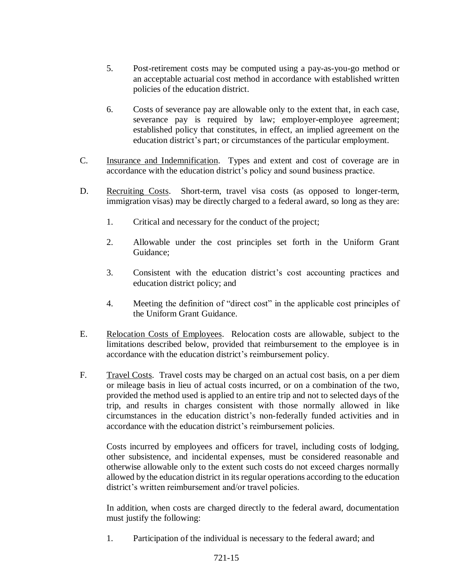- 5. Post-retirement costs may be computed using a pay-as-you-go method or an acceptable actuarial cost method in accordance with established written policies of the education district.
- 6. Costs of severance pay are allowable only to the extent that, in each case, severance pay is required by law; employer-employee agreement; established policy that constitutes, in effect, an implied agreement on the education district's part; or circumstances of the particular employment.
- C. Insurance and Indemnification. Types and extent and cost of coverage are in accordance with the education district's policy and sound business practice.
- D. Recruiting Costs. Short-term, travel visa costs (as opposed to longer-term, immigration visas) may be directly charged to a federal award, so long as they are:
	- 1. Critical and necessary for the conduct of the project;
	- 2. Allowable under the cost principles set forth in the Uniform Grant Guidance;
	- 3. Consistent with the education district's cost accounting practices and education district policy; and
	- 4. Meeting the definition of "direct cost" in the applicable cost principles of the Uniform Grant Guidance.
- E. Relocation Costs of Employees. Relocation costs are allowable, subject to the limitations described below, provided that reimbursement to the employee is in accordance with the education district's reimbursement policy.
- F. Travel Costs. Travel costs may be charged on an actual cost basis, on a per diem or mileage basis in lieu of actual costs incurred, or on a combination of the two, provided the method used is applied to an entire trip and not to selected days of the trip, and results in charges consistent with those normally allowed in like circumstances in the education district's non-federally funded activities and in accordance with the education district's reimbursement policies.

Costs incurred by employees and officers for travel, including costs of lodging, other subsistence, and incidental expenses, must be considered reasonable and otherwise allowable only to the extent such costs do not exceed charges normally allowed by the education district in its regular operations according to the education district's written reimbursement and/or travel policies.

In addition, when costs are charged directly to the federal award, documentation must justify the following:

1. Participation of the individual is necessary to the federal award; and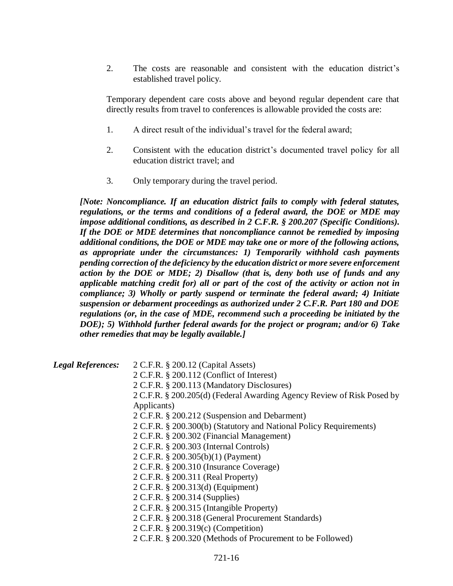2. The costs are reasonable and consistent with the education district's established travel policy.

Temporary dependent care costs above and beyond regular dependent care that directly results from travel to conferences is allowable provided the costs are:

- 1. A direct result of the individual's travel for the federal award;
- 2. Consistent with the education district's documented travel policy for all education district travel; and
- 3. Only temporary during the travel period.

*[Note: Noncompliance. If an education district fails to comply with federal statutes, regulations, or the terms and conditions of a federal award, the DOE or MDE may impose additional conditions, as described in 2 C.F.R. § 200.207 (Specific Conditions). If the DOE or MDE determines that noncompliance cannot be remedied by imposing additional conditions, the DOE or MDE may take one or more of the following actions, as appropriate under the circumstances: 1) Temporarily withhold cash payments pending correction of the deficiency by the education district or more severe enforcement action by the DOE or MDE; 2) Disallow (that is, deny both use of funds and any applicable matching credit for) all or part of the cost of the activity or action not in compliance; 3) Wholly or partly suspend or terminate the federal award; 4) Initiate suspension or debarment proceedings as authorized under 2 C.F.R. Part 180 and DOE regulations (or, in the case of MDE, recommend such a proceeding be initiated by the DOE); 5) Withhold further federal awards for the project or program; and/or 6) Take other remedies that may be legally available.]*

| <b>Legal References:</b> | 2 C.F.R. § 200.12 (Capital Assets)                                     |
|--------------------------|------------------------------------------------------------------------|
|                          | $2$ C.F.R. § 200.112 (Conflict of Interest)                            |
|                          | 2 C.F.R. § 200.113 (Mandatory Disclosures)                             |
|                          | 2 C.F.R. § 200.205(d) (Federal Awarding Agency Review of Risk Posed by |
|                          | Applicants)                                                            |
|                          | 2 C.F.R. § 200.212 (Suspension and Debarment)                          |
|                          | 2 C.F.R. § 200.300(b) (Statutory and National Policy Requirements)     |
|                          | 2 C.F.R. § 200.302 (Financial Management)                              |
|                          | 2 C.F.R. § 200.303 (Internal Controls)                                 |
|                          | 2 C.F.R. § 200.305(b)(1) (Payment)                                     |
|                          | 2 C.F.R. § 200.310 (Insurance Coverage)                                |
|                          | 2 C.F.R. § 200.311 (Real Property)                                     |
|                          | 2 C.F.R. § 200.313(d) (Equipment)                                      |
|                          | 2 C.F.R. § 200.314 (Supplies)                                          |
|                          | 2 C.F.R. § 200.315 (Intangible Property)                               |
|                          | 2 C.F.R. § 200.318 (General Procurement Standards)                     |
|                          | 2 C.F.R. § 200.319(c) (Competition)                                    |
|                          | 2 C.F.R. § 200.320 (Methods of Procurement to be Followed)             |